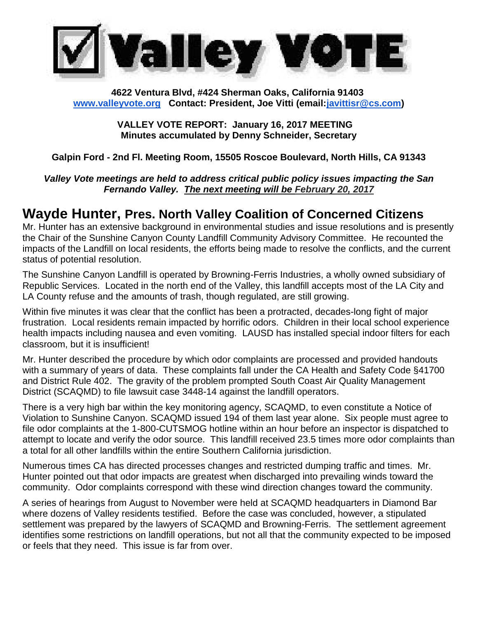

#### **4622 Ventura Blvd, #424 Sherman Oaks, California 91403 [www.valleyvote.org](http://www.valleyvote.org/) Contact: President, Joe Vitti (email[:javittisr@cs.com\)](mailto:javittisr@cs.com)**

**VALLEY VOTE REPORT: January 16, 2017 MEETING Minutes accumulated by Denny Schneider, Secretary**

#### **Galpin Ford - 2nd Fl. Meeting Room, 15505 Roscoe Boulevard, North Hills, CA 91343**

*Valley Vote meetings are held to address critical public policy issues impacting the San Fernando Valley. The next meeting will be February 20, 2017*

## **Wayde Hunter, Pres. North Valley Coalition of Concerned Citizens**

Mr. Hunter has an extensive background in environmental studies and issue resolutions and is presently the Chair of the Sunshine Canyon County Landfill Community Advisory Committee. He recounted the impacts of the Landfill on local residents, the efforts being made to resolve the conflicts, and the current status of potential resolution.

The Sunshine Canyon Landfill is operated by Browning-Ferris Industries, a wholly owned subsidiary of Republic Services. Located in the north end of the Valley, this landfill accepts most of the LA City and LA County refuse and the amounts of trash, though regulated, are still growing.

Within five minutes it was clear that the conflict has been a protracted, decades-long fight of major frustration. Local residents remain impacted by horrific odors. Children in their local school experience health impacts including nausea and even vomiting. LAUSD has installed special indoor filters for each classroom, but it is insufficient!

Mr. Hunter described the procedure by which odor complaints are processed and provided handouts with a summary of years of data. These complaints fall under the CA Health and Safety Code §41700 and District Rule 402. The gravity of the problem prompted South Coast Air Quality Management District (SCAQMD) to file lawsuit case 3448-14 against the landfill operators.

There is a very high bar within the key monitoring agency, SCAQMD, to even constitute a Notice of Violation to Sunshine Canyon. SCAQMD issued 194 of them last year alone. Six people must agree to file odor complaints at the 1-800-CUTSMOG hotline within an hour before an inspector is dispatched to attempt to locate and verify the odor source. This landfill received 23.5 times more odor complaints than a total for all other landfills within the entire Southern California jurisdiction.

Numerous times CA has directed processes changes and restricted dumping traffic and times. Mr. Hunter pointed out that odor impacts are greatest when discharged into prevailing winds toward the community. Odor complaints correspond with these wind direction changes toward the community.

A series of hearings from August to November were held at SCAQMD headquarters in Diamond Bar where dozens of Valley residents testified. Before the case was concluded, however, a stipulated settlement was prepared by the lawyers of SCAQMD and Browning-Ferris. The settlement agreement identifies some restrictions on landfill operations, but not all that the community expected to be imposed or feels that they need. This issue is far from over.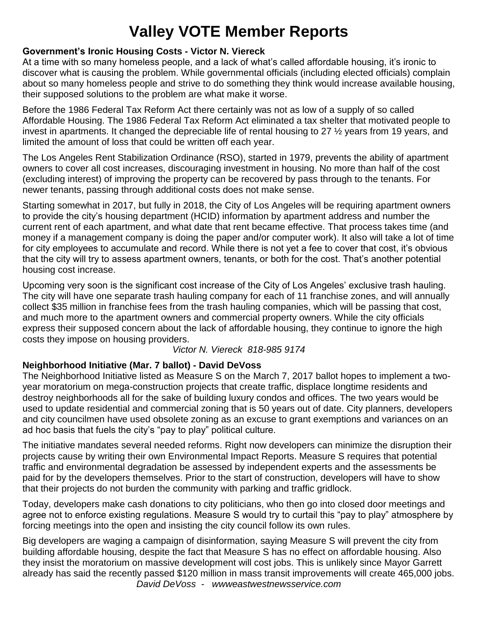# **Valley VOTE Member Reports**

#### **Government's Ironic Housing Costs - Victor N. Viereck**

At a time with so many homeless people, and a lack of what's called affordable housing, it's ironic to discover what is causing the problem. While governmental officials (including elected officials) complain about so many homeless people and strive to do something they think would increase available housing, their supposed solutions to the problem are what make it worse.

Before the 1986 Federal Tax Reform Act there certainly was not as low of a supply of so called Affordable Housing. The 1986 Federal Tax Reform Act eliminated a tax shelter that motivated people to invest in apartments. It changed the depreciable life of rental housing to 27 ½ years from 19 years, and limited the amount of loss that could be written off each year.

The Los Angeles Rent Stabilization Ordinance (RSO), started in 1979, prevents the ability of apartment owners to cover all cost increases, discouraging investment in housing. No more than half of the cost (excluding interest) of improving the property can be recovered by pass through to the tenants. For newer tenants, passing through additional costs does not make sense.

Starting somewhat in 2017, but fully in 2018, the City of Los Angeles will be requiring apartment owners to provide the city's housing department (HCID) information by apartment address and number the current rent of each apartment, and what date that rent became effective. That process takes time (and money if a management company is doing the paper and/or computer work). It also will take a lot of time for city employees to accumulate and record. While there is not yet a fee to cover that cost, it's obvious that the city will try to assess apartment owners, tenants, or both for the cost. That's another potential housing cost increase.

Upcoming very soon is the significant cost increase of the City of Los Angeles' exclusive trash hauling. The city will have one separate trash hauling company for each of 11 franchise zones, and will annually collect \$35 million in franchise fees from the trash hauling companies, which will be passing that cost, and much more to the apartment owners and commercial property owners. While the city officials express their supposed concern about the lack of affordable housing, they continue to ignore the high costs they impose on housing providers.

*Victor N. Viereck [818-985 9174](tel:(818)%20985-9174)*

### **Neighborhood Initiative (Mar. 7 ballot) - David DeVoss**

The Neighborhood Initiative listed as Measure S on the March 7, 2017 ballot hopes to implement a twoyear moratorium on mega-construction projects that create traffic, displace longtime residents and destroy neighborhoods all for the sake of building luxury condos and offices. The two years would be used to update residential and commercial zoning that is 50 years out of date. City planners, developers and city councilmen have used obsolete zoning as an excuse to grant exemptions and variances on an ad hoc basis that fuels the city's "pay to play" political culture.

The initiative mandates several needed reforms. Right now developers can minimize the disruption their projects cause by writing their own Environmental Impact Reports. Measure S requires that potential traffic and environmental degradation be assessed by independent experts and the assessments be paid for by the developers themselves. Prior to the start of construction, developers will have to show that their projects do not burden the community with parking and traffic gridlock.

Today, developers make cash donations to city politicians, who then go into closed door meetings and agree not to enforce existing regulations. Measure S would try to curtail this "pay to play" atmosphere by forcing meetings into the open and insisting the city council follow its own rules.

Big developers are waging a campaign of disinformation, saying Measure S will prevent the city from building affordable housing, despite the fact that Measure S has no effect on affordable housing. Also they insist the moratorium on massive development will cost jobs. This is unlikely since Mayor Garrett already has said the recently passed \$120 million in mass transit improvements will create 465,000 jobs.

*David DeVoss - [wwweastwestnewsservice.com](http://wwweastwestnewsservice.com/)*